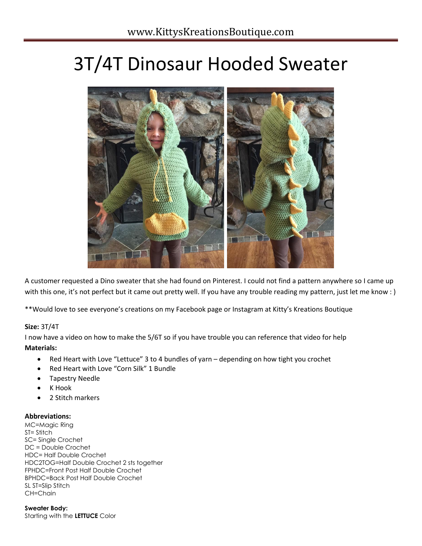# 3T/4T Dinosaur Hooded Sweater



A customer requested a Dino sweater that she had found on Pinterest. I could not find a pattern anywhere so I came up with this one, it's not perfect but it came out pretty well. If you have any trouble reading my pattern, just let me know : )

\*\*Would love to see everyone's creations on my Facebook page or Instagram at Kitty's Kreations Boutique

# **Size:** 3T/4T

I now have a video on how to make the 5/6T so if you have trouble you can reference that video for help **Materials:**

- Red Heart with Love "Lettuce" 3 to 4 bundles of yarn depending on how tight you crochet
- Red Heart with Love "Corn Silk" 1 Bundle
- Tapestry Needle
- K Hook
- 2 Stitch markers

# **Abbreviations:**

MC=Magic Ring ST= Stitch SC= Single Crochet DC = Double Crochet HDC= Half Double Crochet HDC2TOG=Half Double Crochet 2 sts together FPHDC=Front Post Half Double Crochet BPHDC=Back Post Half Double Crochet SL ST=Slip Stitch CH=Chain

**Sweater Body:** Starting with the **LETTUCE** Color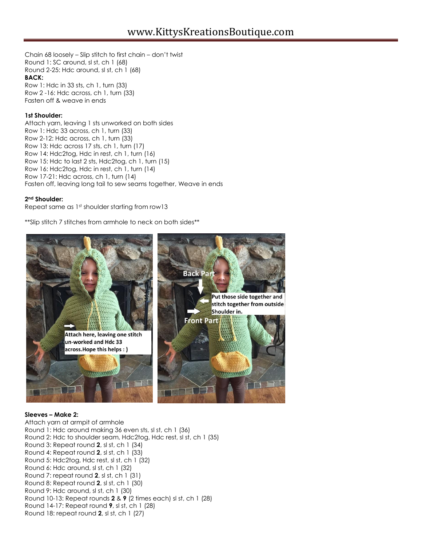Chain 68 loosely – Slip stitch to first chain – don't twist Round 1: SC around, sl st, ch 1 (68) Round 2-25: Hdc around, sl st, ch 1 (68) **BACK:** Row 1: Hdc in 33 sts, ch 1, turn (33) Row 2 -16: Hdc across, ch 1, turn (33) Fasten off & weave in ends

### **1st Shoulder:**

Attach yarn, leaving 1 sts unworked on both sides Row 1: Hdc 33 across, ch 1, turn (33) Row 2-12: Hdc across, ch 1, turn (33) Row 13: Hdc across 17 sts, ch 1, turn (17) Row 14: Hdc2tog, Hdc in rest, ch 1, turn (16) Row 15: Hdc to last 2 sts, Hdc2tog, ch 1, turn (15) Row 16: Hdc2tog, Hdc in rest, ch 1, turn (14) Row 17-21: Hdc across, ch 1, turn (14) Fasten off, leaving long tail to sew seams together, Weave in ends

### **2nd Shoulder:**

Repeat same as 1st shoulder starting from row13

\*\*Slip stitch 7 stitches from armhole to neck on both sides\*\*



#### **Sleeves – Make 2:**

Attach yarn at armpit of armhole Round 1: Hdc around making 36 even sts, sl st, ch 1 (36) Round 2: Hdc to shoulder seam, Hdc2tog, Hdc rest, sl st, ch 1 (35) Round 3: Repeat round **2**, sl st, ch 1 (34) Round 4: Repeat round **2**, sl st, ch 1 (33) Round 5: Hdc2tog, Hdc rest, sl st, ch 1 (32) Round 6: Hdc around, sl st, ch 1 (32) Round 7: repeat round **2**, sl st, ch 1 (31) Round 8: Repeat round **2**, sl st, ch 1 (30) Round 9: Hdc around, sl st, ch 1 (30) Round 10-13: Repeat rounds **2** & **9** (2 times each) sl st, ch 1 (28) Round 14-17: Repeat round **9**, sl st, ch 1 (28) Round 18: repeat round **2**, sl st, ch 1 (27)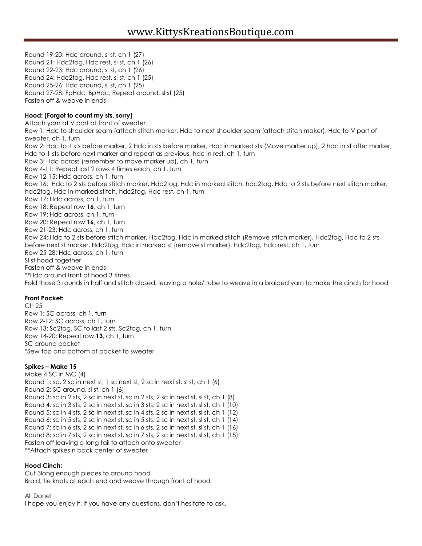Round 19-20: Hdc around, sl st, ch 1 (27) Round 21: Hdc2tog, Hdc rest, sl st, ch 1 (26) Round 22-23: Hdc around, sl st, ch 1 (26) Round 24: Hdc2tog, Hdc rest, sl st, ch 1 (25) Round 25-26: Hdc around, sl st, ch 1 (25) Round 27-28: FpHdc, BpHdc, Repeat around, sl st (25) Fasten off & weave in ends **Hood: (Forgot to count my sts, sorry)** Attach yarn at V part at front of sweater Row 1: Hdc to shoulder seam (attach stitch marker, Hdc to next shoulder seam (attach stitch maker), Hdc to V part of sweater, ch 1, turn Row 2: Hdc to 1 sts before marker, 2 Hdc in sts before marker, Hdc in marked sts (Move marker up), 2 hdc in st after marker, Hdc to 1 sts before next marker and repeat as previous, hdc in rest, ch 1, turn Row 3: Hdc across (remember to move marker up), ch 1, turn Row 4-11: Repeat last 2 rows 4 times each, ch 1, turn Row 12-15: Hdc across, ch 1, turn Row 16: Hdc to 2 sts before stitch marker, Hdc2tog, Hdc in marked stitch, hdc2tog, Hdc to 2 sts before next stitch marker, hdc2tog, Hdc in marked stitch, hdc2tog, Hdc rest, ch 1, turn Row 17: Hdc across, ch 1, turn Row 18: Repeat row **16**, ch 1, turn Row 19: Hdc across, ch 1, turn Row 20: Repeat row **16**, ch 1, turn Row 21-23: Hdc across, ch 1, turn Row 24: Hdc to 2 sts before stitch marker, Hdc2tog, Hdc in marked stitch (Remove stitch marker), Hdc2tog, Hdc to 2 sts before next st marker, Hdc2tog, Hdc in marked st (remove st marker), Hdc2tog, Hdc rest, ch 1, turn Row 25-28: Hdc across, ch 1, turn Sl st hood together Fasten off & weave in ends \*\*Hdc around front of hood 3 times Fold those 3 rounds in half and stitch closed, leaving a hole/ tube to weave in a braided yarn to make the cinch for hood

# **Front Pocket:**

 $Ch<sub>25</sub>$ Row 1: SC across, ch 1, turn Row 2-12: SC across, ch 1, turn Row 13: Sc2tog, SC to last 2 sts, Sc2tog, ch 1, turn Row 14-20: Repeat row **13**, ch 1, turn SC around pocket \*Sew top and bottom of pocket to sweater

#### **Spikes – Make 15**

Make 4 SC in MC (4) Round 1: sc, 2 sc in next st, 1 sc next st, 2 sc in next st, sl st, ch 1 (6) Round 2: SC around, sl st, ch 1 (6) Round 3: sc in 2 sts, 2 sc in next st, sc in 2 sts, 2 sc in next st, sl st, ch 1 (8) Round 4: sc in 3 sts, 2 sc in next st, sc in 3 sts, 2 sc in next st, sl st, ch 1 (10) Round 5: sc in 4 sts, 2 sc in next st, sc in 4 sts, 2 sc in next st, sl st, ch 1 (12) Round 6: sc in 5 sts, 2 sc in next st, sc in 5 sts, 2 sc in next st, sl st, ch 1 (14) Round 7: sc in 6 sts, 2 sc in next st, sc in 6 sts, 2 sc in next st, sl st, ch 1 (16) Round 8: sc in 7 sts, 2 sc in next st, sc in 7 sts, 2 sc in next st, sl st, ch 1 (18) Fasten off leaving a long tail to attach onto sweater \*\*Attach spikes n back center of sweater

#### **Hood Cinch:**

Cut 3long enough pieces to around hood Braid, tie knots at each end and weave through front of hood

All Done!

I hope you enjoy it. If you have any questions, don't hesitate to ask.